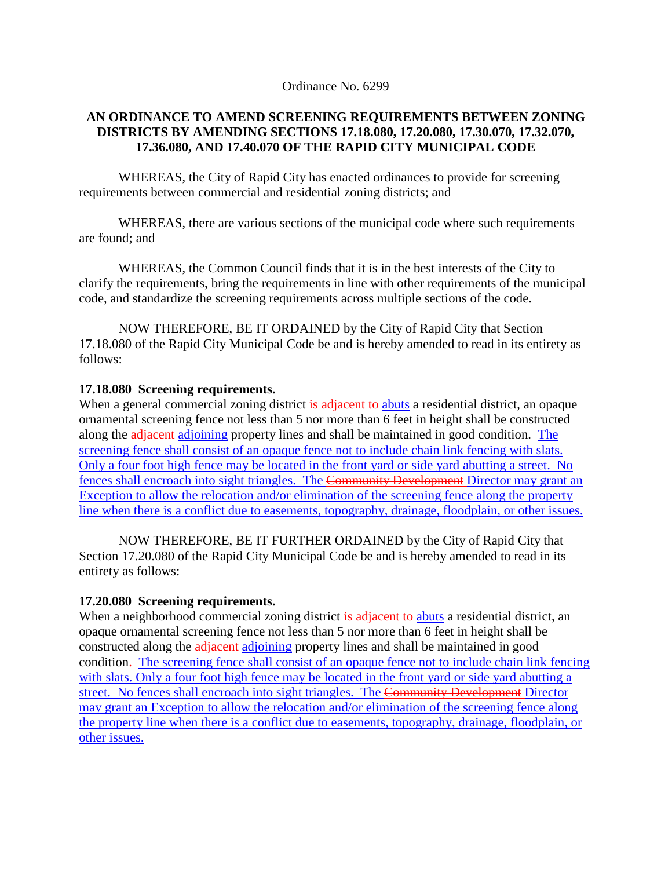Ordinance No. 6299

### **AN ORDINANCE TO AMEND SCREENING REQUIREMENTS BETWEEN ZONING DISTRICTS BY AMENDING SECTIONS 17.18.080, 17.20.080, 17.30.070, 17.32.070, 17.36.080, AND 17.40.070 OF THE RAPID CITY MUNICIPAL CODE**

WHEREAS, the City of Rapid City has enacted ordinances to provide for screening requirements between commercial and residential zoning districts; and

WHEREAS, there are various sections of the municipal code where such requirements are found; and

WHEREAS, the Common Council finds that it is in the best interests of the City to clarify the requirements, bring the requirements in line with other requirements of the municipal code, and standardize the screening requirements across multiple sections of the code.

NOW THEREFORE, BE IT ORDAINED by the City of Rapid City that Section 17.18.080 of the Rapid City Municipal Code be and is hereby amended to read in its entirety as follows:

### **17.18.080 Screening requirements.**

When a general commercial zoning district is adjacent to abuts a residential district, an opaque ornamental screening fence not less than 5 nor more than 6 feet in height shall be constructed along the adjacent adjoining property lines and shall be maintained in good condition. The screening fence shall consist of an opaque fence not to include chain link fencing with slats. Only a four foot high fence may be located in the front yard or side yard abutting a street. No fences shall encroach into sight triangles. The Community Development Director may grant an Exception to allow the relocation and/or elimination of the screening fence along the property line when there is a conflict due to easements, topography, drainage, floodplain, or other issues.

NOW THEREFORE, BE IT FURTHER ORDAINED by the City of Rapid City that Section 17.20.080 of the Rapid City Municipal Code be and is hereby amended to read in its entirety as follows:

# **17.20.080 Screening requirements.**

When a neighborhood commercial zoning district is adjacent to abuts a residential district, an opaque ornamental screening fence not less than 5 nor more than 6 feet in height shall be constructed along the adjacent adjoining property lines and shall be maintained in good condition. The screening fence shall consist of an opaque fence not to include chain link fencing with slats. Only a four foot high fence may be located in the front yard or side yard abutting a street. No fences shall encroach into sight triangles. The Community Development Director may grant an Exception to allow the relocation and/or elimination of the screening fence along the property line when there is a conflict due to easements, topography, drainage, floodplain, or other issues.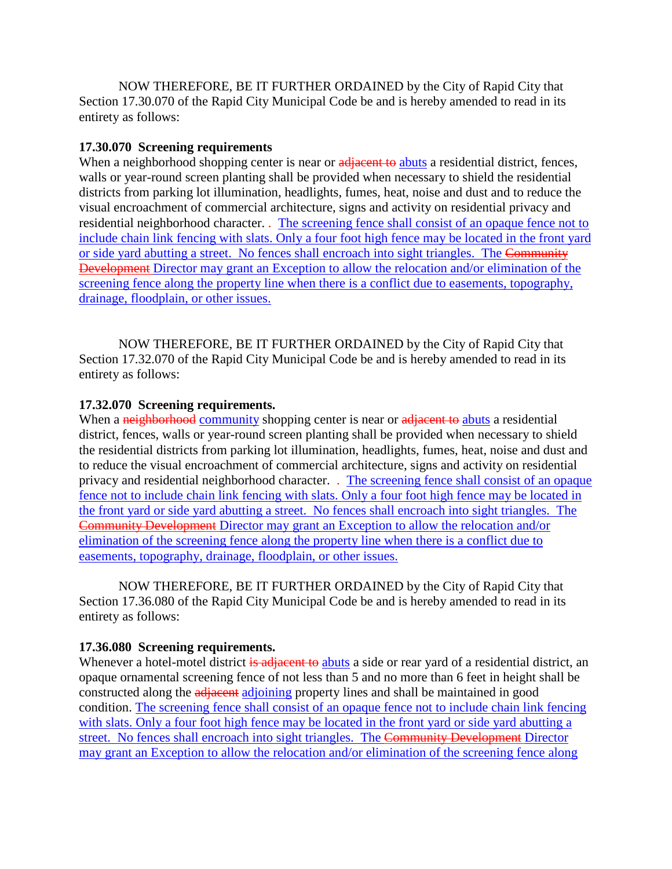NOW THEREFORE, BE IT FURTHER ORDAINED by the City of Rapid City that Section 17.30.070 of the Rapid City Municipal Code be and is hereby amended to read in its entirety as follows:

## **17.30.070 Screening requirements**

When a neighborhood shopping center is near or adjacent to abuts a residential district, fences, walls or year-round screen planting shall be provided when necessary to shield the residential districts from parking lot illumination, headlights, fumes, heat, noise and dust and to reduce the visual encroachment of commercial architecture, signs and activity on residential privacy and residential neighborhood character. . The screening fence shall consist of an opaque fence not to include chain link fencing with slats. Only a four foot high fence may be located in the front yard or side yard abutting a street. No fences shall encroach into sight triangles. The Community Development Director may grant an Exception to allow the relocation and/or elimination of the screening fence along the property line when there is a conflict due to easements, topography, drainage, floodplain, or other issues.

NOW THEREFORE, BE IT FURTHER ORDAINED by the City of Rapid City that Section 17.32.070 of the Rapid City Municipal Code be and is hereby amended to read in its entirety as follows:

## **17.32.070 Screening requirements.**

When a neighborhood community shopping center is near or adjacent to abuts a residential district, fences, walls or year-round screen planting shall be provided when necessary to shield the residential districts from parking lot illumination, headlights, fumes, heat, noise and dust and to reduce the visual encroachment of commercial architecture, signs and activity on residential privacy and residential neighborhood character. . The screening fence shall consist of an opaque fence not to include chain link fencing with slats. Only a four foot high fence may be located in the front yard or side yard abutting a street. No fences shall encroach into sight triangles. The Community Development Director may grant an Exception to allow the relocation and/or elimination of the screening fence along the property line when there is a conflict due to easements, topography, drainage, floodplain, or other issues.

NOW THEREFORE, BE IT FURTHER ORDAINED by the City of Rapid City that Section 17.36.080 of the Rapid City Municipal Code be and is hereby amended to read in its entirety as follows:

### **17.36.080 Screening requirements.**

Whenever a hotel-motel district is adjacent to abuts a side or rear yard of a residential district, an opaque ornamental screening fence of not less than 5 and no more than 6 feet in height shall be constructed along the adjacent adjoining property lines and shall be maintained in good condition. The screening fence shall consist of an opaque fence not to include chain link fencing with slats. Only a four foot high fence may be located in the front yard or side yard abutting a street. No fences shall encroach into sight triangles. The Community Development Director may grant an Exception to allow the relocation and/or elimination of the screening fence along